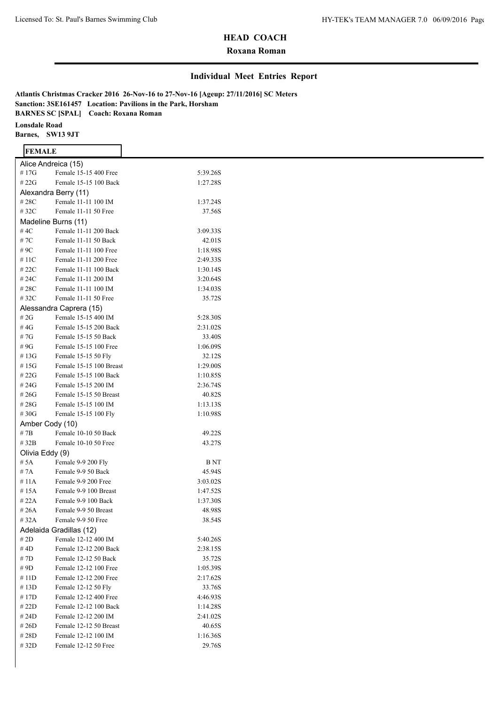## **Roxana Roman**

#### **Individual Meet Entries Report**

**Atlantis Christmas Cracker 2016 26-Nov-16 to 27-Nov-16 [Ageup: 27/11/2016] SC Meters Sanction: 3SE161457 Location: Pavilions in the Park, Horsham BARNES SC [SPAL] Coach: Roxana Roman Lonsdale Road Barnes, SW13 9JT**

#### **FEMALE**

| Alice Andreica (15) |                         |          |
|---------------------|-------------------------|----------|
| #17G                | Female 15-15 400 Free   | 5:39.26S |
| # $22G$             | Female 15-15 100 Back   | 1:27.28S |
|                     | Alexandra Berry (11)    |          |
| #28C                | Female 11-11 100 IM     | 1:37.24S |
| #32C                | Female 11-11 50 Free    | 37.56S   |
|                     | Madeline Burns (11)     |          |
| #4C                 | Female 11-11 200 Back   | 3:09.33S |
| #7C                 | Female 11-11 50 Back    | 42.01S   |
| # 9C                | Female 11-11 100 Free   | 1:18.98S |
| # 11C               | Female 11-11 200 Free   | 2:49.33S |
| #22C                | Female 11-11 100 Back   | 1:30.14S |
| #24C                | Female 11-11 200 IM     | 3:20.64S |
| #28C                | Female 11-11 100 IM     | 1:34.03S |
| #32C                | Female 11-11 50 Free    | 35.72S   |
|                     | Alessandra Caprera (15) |          |
| # $2G$              | Female 15-15 400 IM     | 5:28.30S |
| #4G                 | Female 15-15 200 Back   | 2:31.02S |
| # 7G                | Female 15-15 50 Back    | 33.40S   |
| # 9G                | Female 15-15 100 Free   | 1:06.09S |
| # 13G               | Female 15-15 50 Fly     | 32.12S   |
| # 15G               | Female 15-15 100 Breast | 1:29.00S |
| #22G                | Female 15-15 100 Back   | 1:10.85S |
| # 24G               | Female 15-15 200 IM     | 2:36.74S |
| #26G                | Female 15-15 50 Breast  | 40.82S   |
| #28G                | Female 15-15 100 IM     | 1:13.13S |
| #30G                | Female 15-15 100 Fly    | 1:10.98S |
| Amber Cody (10)     |                         |          |
| # 7B                | Female 10-10 50 Back    | 49.22S   |
| # 32B               | Female 10-10 50 Free    | 43.27S   |
| Olivia Eddy (9)     |                         |          |
| # 5A                | Female 9-9 200 Fly      | B NT     |
| #7A                 | Female 9-9 50 Back      | 45.94S   |
| #11A                | Female 9-9 200 Free     | 3:03.02S |
| #15A                | Female 9-9 100 Breast   | 1:47.52S |
| #22A                | Female 9-9 100 Back     | 1:37.30S |
| # 26A               | Female 9-9 50 Breast    | 48.98S   |
| # 32A               | Female 9-9 50 Free      | 38.54S   |
|                     | Adelaida Gradillas (12) |          |
| # 2D                | Female 12-12 400 IM     | 5:40.26S |
| # 4D                | Female 12-12 200 Back   | 2:38.15S |
| # 7D                | Female 12-12 50 Back    | 35.72S   |
| # 9D                | Female 12-12 100 Free   | 1:05.39S |
| #11D                | Female 12-12 200 Free   | 2:17.62S |
| #13D                | Female 12-12 50 Fly     | 33.76S   |
| # 17D               | Female 12-12 400 Free   | 4:46.93S |
| # 22D               | Female 12-12 100 Back   | 1:14.28S |
| # 24D               | Female 12-12 200 IM     | 2:41.02S |
| # 26D               | Female 12-12 50 Breast  | 40.65S   |
| #28D                | Female 12-12 100 IM     | 1:16.36S |
| # 32D               | Female 12-12 50 Free    | 29.76S   |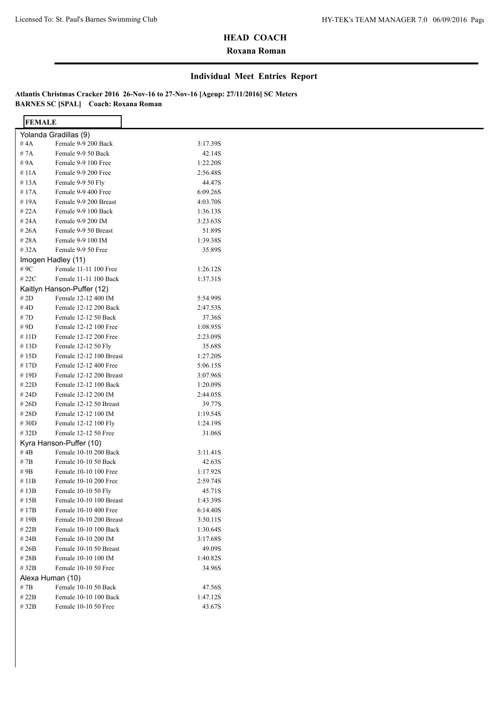## **Roxana Roman**

#### **Individual Meet Entries Report**

| <b>FEMALE</b> |                            |          |  |
|---------------|----------------------------|----------|--|
|               | Yolanda Gradillas (9)      |          |  |
| # $4A$        | Female 9-9 200 Back        | 3:17.39S |  |
| #7A           | Female 9-9 50 Back         | 42.14S   |  |
| # 9A          | Female 9-9 100 Free        | 1:22.20S |  |
| #11A          | Female 9-9 200 Free        | 2:56.48S |  |
| #13A          | Female 9-9 50 Fly          | 44.47S   |  |
| #17A          | Female 9-9 400 Free        | 6:09.26S |  |
| #19A          | Female 9-9 200 Breast      | 4:03.70S |  |
| #22A          | Female 9-9 100 Back        | 1:36.13S |  |
| #24A          | Female 9-9 200 IM          | 3:23.63S |  |
| #26A          | Female 9-9 50 Breast       | 51.89S   |  |
| #28A          | Female 9-9 100 IM          | 1:39.38S |  |
| #32A          | Female 9-9 50 Free         | 35.89S   |  |
|               | Imogen Hadley (11)         |          |  |
| # 9C          | Female 11-11 100 Free      | 1:26.12S |  |
| # 22 $C$      | Female 11-11 100 Back      | 1:37.31S |  |
|               | Kaitlyn Hanson-Puffer (12) |          |  |
| # $2D$        | Female 12-12 400 IM        | 5:54.99S |  |
| #4D           | Female 12-12 200 Back      | 2:47.53S |  |
| #7D           | Female 12-12 50 Back       | 37.36S   |  |
| # 9D          | Female 12-12 100 Free      | 1:08.95S |  |
| #11D          | Female 12-12 200 Free      | 2:23.09S |  |
| #13D          | Female 12-12 50 Fly        | 35.68S   |  |
| #15D          | Female 12-12 100 Breast    | 1:27.20S |  |
| #17D          | Female 12-12 400 Free      | 5:06.15S |  |
| #19D          | Female 12-12 200 Breast    | 3:07.96S |  |
| #22D          | Female 12-12 100 Back      | 1:20.09S |  |
| #24D          | Female 12-12 200 IM        | 2:44.05S |  |
| #26D          | Female 12-12 50 Breast     | 39.77S   |  |
| #28D          | Female 12-12 100 IM        | 1:19.54S |  |
| #30D          | Female 12-12 100 Fly       | 1:24.19S |  |
| #32D          | Female 12-12 50 Free       | 31.06S   |  |
|               | Kyra Hanson-Puffer (10)    |          |  |
| # $4B$        | Female 10-10 200 Back      | 3:11.41S |  |
| #7B           | Female 10-10 50 Back       | 42.63S   |  |
| #9B           | Female 10-10 100 Free      | 1:17.92S |  |
| $\#$ 11B      | Female 10-10 200 Free      | 2:59.74S |  |
| #13B          | Female 10-10 50 Fly        | 45.71S   |  |
| #15B          | Female 10-10 100 Breast    | 1:43.39S |  |
| #17B          | Female 10-10 400 Free      | 6:14.40S |  |
| #19B          | Female 10-10 200 Breast    | 3:50.11S |  |
| #22B          | Female 10-10 100 Back      | 1:30.64S |  |
| #24B          | Female 10-10 200 IM        | 3:17.68S |  |
| #26B          | Female 10-10 50 Breast     | 49.09S   |  |
| #28B          | Female 10-10 100 IM        | 1:40.82S |  |
| #32B          | Female 10-10 50 Free       | 34.96S   |  |
|               | Alexa Human (10)           |          |  |
| #7B           | Female 10-10 50 Back       | 47.56S   |  |
| #22B          | Female 10-10 100 Back      | 1:47.12S |  |
| #32B          | Female 10-10 50 Free       | 43.67S   |  |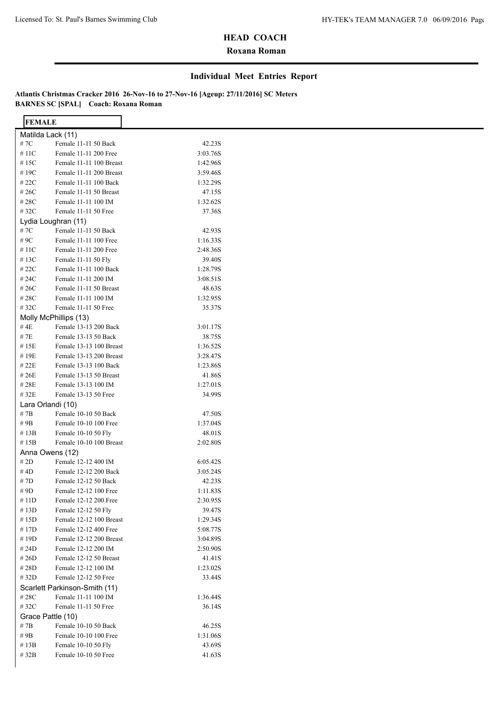## **Roxana Roman**

#### **Individual Meet Entries Report**

| <b>FEMALE</b>     |                                               |          |  |
|-------------------|-----------------------------------------------|----------|--|
| Matilda Lack (11) |                                               |          |  |
| #7C               | Female 11-11 50 Back                          | 42.23S   |  |
| #11C              | Female 11-11 200 Free                         | 3:03.76S |  |
| #15C              | Female 11-11 100 Breast                       | 1:42.96S |  |
| #19C              | Female 11-11 200 Breast                       | 3:59.46S |  |
| # 22C             | Female 11-11 100 Back                         | 1:32.29S |  |
| #26C              | Female 11-11 50 Breast                        | 47.15S   |  |
| #28C              | Female 11-11 100 IM                           | 1:32.62S |  |
| #32C              | Female 11-11 50 Free                          | 37.36S   |  |
|                   | Lydia Loughran (11)                           |          |  |
| # 7 $C$           | Female 11-11 50 Back                          | 42.93S   |  |
| # 9C              | Female 11-11 100 Free                         | 1:16.33S |  |
| #11C              | Female 11-11 200 Free                         | 2:48.36S |  |
| #13C              | Female 11-11 50 Fly                           | 39.40S   |  |
| # 22C             | Female 11-11 100 Back                         | 1:28.79S |  |
|                   |                                               |          |  |
| # 24C             | Female 11-11 200 IM<br>Female 11-11 50 Breast | 3:08.51S |  |
| # 26C             |                                               | 48.63S   |  |
| #28C              | Female 11-11 100 IM                           | 1:32.95S |  |
| #32C              | Female 11-11 50 Free                          | 35.37S   |  |
|                   | Molly McPhillips (13)                         |          |  |
| # 4E              | Female 13-13 200 Back                         | 3:01.17S |  |
| #7E               | Female 13-13 50 Back                          | 38.75S   |  |
| #15E              | Female 13-13 100 Breast                       | 1:36.52S |  |
| #19E              | Female 13-13 200 Breast                       | 3:28.47S |  |
| # 22E             | Female 13-13 100 Back                         | 1:23.86S |  |
| #26E              | Female 13-13 50 Breast                        | 41.86S   |  |
| #28E              | Female 13-13 100 IM                           | 1:27.01S |  |
| #32E              | Female 13-13 50 Free                          | 34.99S   |  |
| Lara Orlandi (10) |                                               |          |  |
| #7B               | Female 10-10 50 Back                          | 47.50S   |  |
| # 9B              | Female 10-10 100 Free                         | 1:37.04S |  |
| #13B              | Female 10-10 50 Fly                           | 48.01S   |  |
| #15B              | Female 10-10 100 Breast                       | 2:02.80S |  |
| Anna Owens (12)   |                                               |          |  |
| # $2D$            | Female 12-12 400 IM                           | 6:05.42S |  |
| #4D               | Female 12-12 200 Back                         | 3:05.24S |  |
| # 7D              | Female 12-12 50 Back                          | 42.23S   |  |
| # 9D              | Female 12-12 100 Free                         | 1:11.83S |  |
| #11D              | Female 12-12 200 Free                         | 2:30.95S |  |
| #13D              | Female 12-12 50 Fly                           | 39.47S   |  |
| #15D              | Female 12-12 100 Breast                       | 1:29.34S |  |
| #17D              | Female 12-12 400 Free                         | 5:08.77S |  |
| #19D              | Female 12-12 200 Breast                       | 3:04.89S |  |
| # 24D             | Female 12-12 200 IM                           | 2:50.90S |  |
| #26D              | Female 12-12 50 Breast                        | 41.41S   |  |
| #28D              | Female 12-12 100 IM                           | 1:23.02S |  |
| #32D              | Female 12-12 50 Free                          | 33.44S   |  |
|                   | Scarlett Parkinson-Smith (11)                 |          |  |
| $\#$ 28C          | Female 11-11 100 IM                           | 1:36.44S |  |
| #32C              | Female 11-11 50 Free                          | 36.14S   |  |
| Grace Pattle (10) |                                               |          |  |
| #7B               | Female 10-10 50 Back                          | 46.25S   |  |
| # 9B              | Female 10-10 100 Free                         | 1:31.06S |  |
| #13B              | Female 10-10 50 Fly                           | 43.69S   |  |
| #32B              | Female 10-10 50 Free                          | 41.63S   |  |
|                   |                                               |          |  |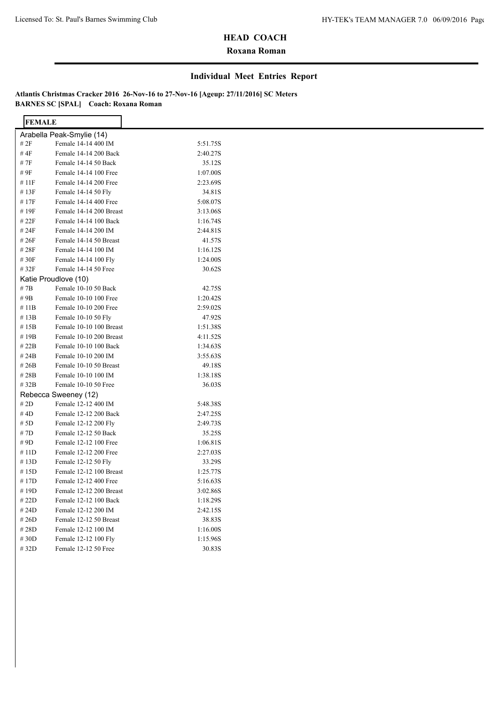$\overline{\phantom{a}}$ 

## **HEAD COACH**

### **Roxana Roman**

#### **Individual Meet Entries Report**

| <b>FEMALE</b> |                           |          |  |
|---------------|---------------------------|----------|--|
|               | Arabella Peak-Smylie (14) |          |  |
| # $2F$        | Female 14-14 400 IM       | 5:51.75S |  |
| #4F           | Female 14-14 200 Back     | 2:40.27S |  |
| # 7F          | Female 14-14 50 Back      | 35.12S   |  |
| # 9F          | Female 14-14 100 Free     | 1:07.00S |  |
| #11F          | Female 14-14 200 Free     | 2:23.69S |  |
| #13F          | Female 14-14 50 Fly       | 34.81S   |  |
| #17F          | Female 14-14 400 Free     | 5:08.07S |  |
| #19F          | Female 14-14 200 Breast   | 3:13.06S |  |
| # 22F         | Female 14-14 100 Back     | 1:16.74S |  |
| # 24F         | Female 14-14 200 IM       | 2:44.81S |  |
| #26F          | Female 14-14 50 Breast    | 41.57S   |  |
| #28F          | Female 14-14 100 IM       | 1:16.12S |  |
| #30F          | Female 14-14 100 Fly      | 1:24.00S |  |
| #32F          | Female 14-14 50 Free      | 30.62S   |  |
|               | Katie Proudlove (10)      |          |  |
| # 7B          | Female 10-10 50 Back      | 42.75S   |  |
| # $9B$        | Female 10-10 100 Free     | 1:20.42S |  |
| # 11B         | Female 10-10 200 Free     | 2:59.02S |  |
| #13B          | Female 10-10 50 Fly       | 47.92S   |  |
| #15B          | Female 10-10 100 Breast   | 1:51.38S |  |
| #19B          | Female 10-10 200 Breast   | 4:11.52S |  |
| #22B          | Female 10-10 100 Back     | 1:34.63S |  |
| # 24B         | Female 10-10 200 IM       | 3:55.63S |  |
| # $26B$       | Female 10-10 50 Breast    | 49.18S   |  |
| #28B          | Female 10-10 100 IM       | 1:38.18S |  |
| # 32B         | Female 10-10 50 Free      | 36.03S   |  |
|               | Rebecca Sweeney (12)      |          |  |
| # $2D$        | Female 12-12 400 IM       | 5:48.38S |  |
| #4D           | Female 12-12 200 Back     | 2:47.25S |  |
| # 5D          | Female 12-12 200 Fly      | 2:49.73S |  |
| #7D           | Female 12-12 50 Back      | 35.25S   |  |
| # 9D          | Female 12-12 100 Free     | 1:06.81S |  |
| #11D          | Female 12-12 200 Free     | 2:27.03S |  |
| #13D          | Female 12-12 50 Fly       | 33.29S   |  |
| #15D          | Female 12-12 100 Breast   | 1:25.77S |  |
| #17D          | Female 12-12 400 Free     | 5:16.63S |  |
| #19D          | Female 12-12 200 Breast   | 3:02.86S |  |
| # 22D         | Female 12-12 100 Back     | 1:18.29S |  |
| # 24D         | Female 12-12 200 IM       | 2:42.15S |  |
| # $26D$       | Female 12-12 50 Breast    | 38.83S   |  |
| #28D          | Female 12-12 100 IM       | 1:16.00S |  |
| #30D          | Female 12-12 100 Fly      | 1:15.96S |  |
| #32D          | Female 12-12 50 Free      | 30.83S   |  |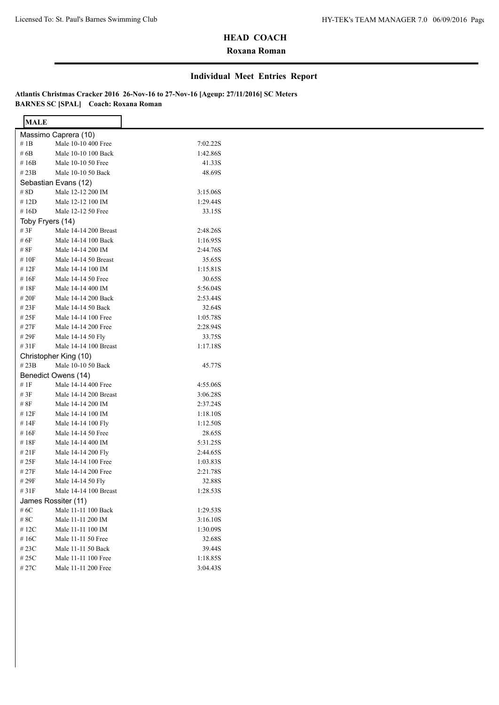## **Roxana Roman**

#### **Individual Meet Entries Report**

| <b>MALE</b>      |                       |          |  |
|------------------|-----------------------|----------|--|
|                  | Massimo Caprera (10)  |          |  |
| # $1B$           | Male 10-10 400 Free   | 7:02.22S |  |
| #6B              | Male 10-10 100 Back   | 1:42.86S |  |
| #16B             | Male 10-10 50 Free    | 41.33S   |  |
| # $23B$          | Male 10-10 50 Back    | 48.69S   |  |
|                  | Sebastian Evans (12)  |          |  |
| $\#$ 8D          | Male 12-12 200 IM     | 3:15.06S |  |
| #12D             | Male 12-12 100 IM     | 1:29.44S |  |
| #16D             | Male 12-12 50 Free    | 33.15S   |  |
| Toby Fryers (14) |                       |          |  |
| # 3F             | Male 14-14 200 Breast | 2:48.26S |  |
| # 6F             | Male 14-14 100 Back   | 1:16.95S |  |
| # 8F             | Male 14-14 200 IM     | 2:44.76S |  |
| #10F             | Male 14-14 50 Breast  | 35.65S   |  |
| #12F             | Male 14-14 100 IM     | 1:15.81S |  |
| #16F             | Male 14-14 50 Free    | 30.65S   |  |
| #18F             | Male 14-14 400 IM     | 5:56.04S |  |
| $\#$ 20F         | Male 14-14 200 Back   | 2:53.44S |  |
| #23F             | Male 14-14 50 Back    | 32.64S   |  |
| #25F             | Male 14-14 100 Free   | 1:05.78S |  |
| #27F             | Male 14-14 200 Free   | 2:28.94S |  |
| # 29F            | Male 14-14 50 Fly     | 33.75S   |  |
| #31F             | Male 14-14 100 Breast | 1:17.18S |  |
|                  | Christopher King (10) |          |  |
| #23B             | Male 10-10 50 Back    | 45.77S   |  |
|                  | Benedict Owens (14)   |          |  |
| #1F              | Male 14-14 400 Free   | 4:55.06S |  |
| # $3F$           | Male 14-14 200 Breast | 3:06.28S |  |
| $\#$ 8F          | Male 14-14 200 IM     | 2:37.24S |  |
| #12F             | Male 14-14 100 IM     | 1:18.10S |  |
| #14F             | Male 14-14 100 Fly    | 1:12.50S |  |
| #16F             | Male 14-14 50 Free    | 28.65S   |  |
| #18F             | Male 14-14 400 IM     | 5:31.25S |  |
| #21F             | Male 14-14 200 Fly    | 2:44.65S |  |
| #25F             | Male 14-14 100 Free   | 1:03.83S |  |
| #27F             | Male 14-14 200 Free   | 2:21.78S |  |
| #29F             | Male 14-14 50 Fly     | 32.88S   |  |
| #31F             | Male 14-14 100 Breast | 1:28.53S |  |
|                  | James Rossiter (11)   |          |  |
| # $6{\rm C}$     | Male 11-11 100 Back   | 1:29.53S |  |
| # $8\mathrm{C}$  | Male 11-11 200 IM     | 3:16.10S |  |
| $\#$ 12C         | Male 11-11 100 IM     | 1:30.09S |  |
| #16C             | Male 11-11 50 Free    | 32.68S   |  |
| $\#$ 23C         | Male 11-11 50 Back    | 39.44S   |  |
| $\#$ 25C         | Male 11-11 100 Free   | 1:18.85S |  |
| $\#$ 27C         | Male 11-11 200 Free   | 3:04.43S |  |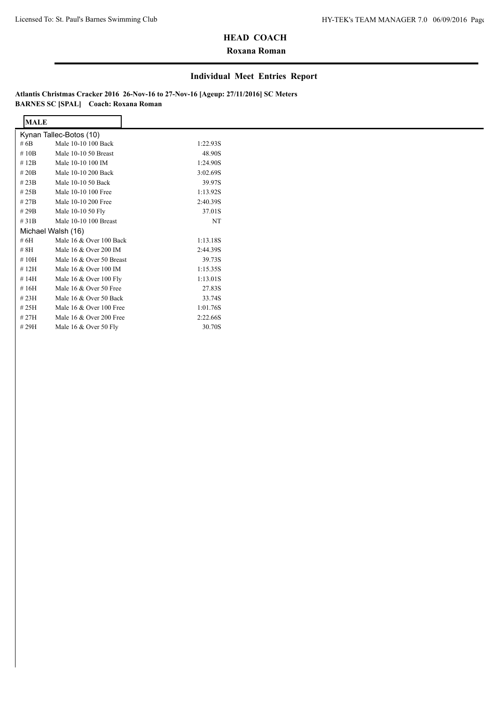## **Roxana Roman**

#### **Individual Meet Entries Report**

| <b>MALE</b>             |                          |          |  |  |  |
|-------------------------|--------------------------|----------|--|--|--|
| Kynan Tallec-Botos (10) |                          |          |  |  |  |
| # $6B$                  | Male 10-10 100 Back      | 1:22.93S |  |  |  |
| #10B                    | Male 10-10 50 Breast     | 48.90S   |  |  |  |
| #12B                    | Male 10-10 100 IM        | 1:24.90S |  |  |  |
| # $20B$                 | Male 10-10 200 Back      | 3:02.69S |  |  |  |
| #23B                    | Male 10-10 50 Back       | 39.97S   |  |  |  |
| #25B                    | Male 10-10 100 Free      | 1:13.92S |  |  |  |
| #27B                    | Male 10-10 200 Free      | 2:40.39S |  |  |  |
| #29B                    | Male 10-10 50 Fly        | 37.01S   |  |  |  |
| #31B                    | Male 10-10 100 Breast    | NT       |  |  |  |
|                         | Michael Walsh (16)       |          |  |  |  |
| # $6H$                  | Male 16 & Over 100 Back  | 1:13.18S |  |  |  |
| # 8H                    | Male 16 & Over 200 IM    | 2:44.39S |  |  |  |
| #10H                    | Male 16 & Over 50 Breast | 39.73S   |  |  |  |
| #12H                    | Male 16 & Over 100 IM    | 1:15.35S |  |  |  |
| #14H                    | Male 16 & Over 100 Fly   | 1:13.01S |  |  |  |
| #16H                    | Male 16 & Over 50 Free   | 27.83S   |  |  |  |
| #23H                    | Male 16 & Over 50 Back   | 33.74S   |  |  |  |
| #25H                    | Male 16 & Over 100 Free  | 1:01.76S |  |  |  |
| #27H                    | Male 16 & Over 200 Free  | 2:22.66S |  |  |  |
| #29H                    | Male 16 & Over 50 Fly    | 30.70S   |  |  |  |